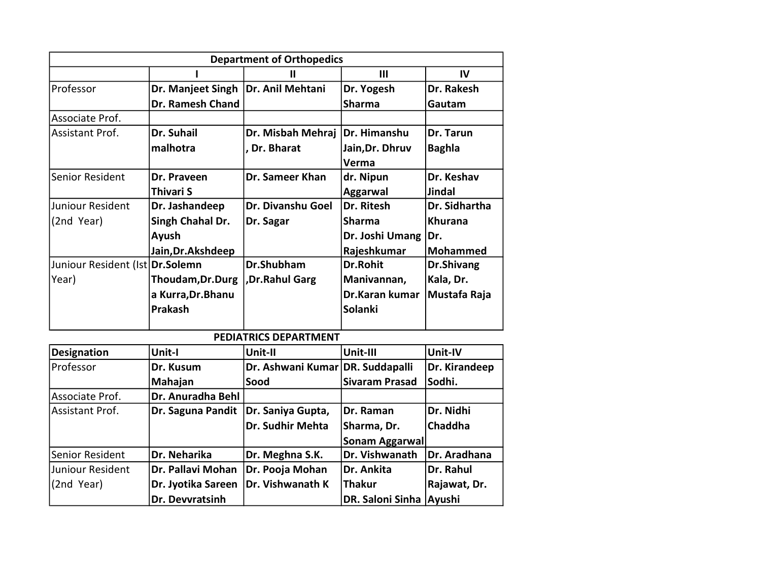| <b>Department of Orthopedics</b>   |                   |                                      |                 |  |  |  |
|------------------------------------|-------------------|--------------------------------------|-----------------|--|--|--|
| Ш<br>Ш                             |                   |                                      | IV              |  |  |  |
|                                    |                   | Dr. Yogesh                           | Dr. Rakesh      |  |  |  |
| Dr. Ramesh Chand                   |                   | <b>Sharma</b>                        | Gautam          |  |  |  |
|                                    |                   |                                      |                 |  |  |  |
| Dr. Suhail                         | Dr. Misbah Mehraj | Dr. Himanshu                         | Dr. Tarun       |  |  |  |
| malhotra                           | , Dr. Bharat      | Jain, Dr. Dhruv                      | <b>Baghla</b>   |  |  |  |
|                                    |                   | Verma                                |                 |  |  |  |
| Dr. Praveen                        | Dr. Sameer Khan   | dr. Nipun                            | Dr. Keshav      |  |  |  |
| Thivari S                          |                   | <b>Aggarwal</b>                      | Jindal          |  |  |  |
| Dr. Jashandeep                     | Dr. Divanshu Goel | Dr. Ritesh                           | Dr. Sidhartha   |  |  |  |
| Singh Chahal Dr.                   | Dr. Sagar         | Sharma                               | <b>Khurana</b>  |  |  |  |
| Ayush                              |                   | Dr. Joshi Umang                      | Dr.             |  |  |  |
| Jain, Dr. Akshdeep                 |                   | Rajeshkumar                          | <b>Mohammed</b> |  |  |  |
| Juniour Resident (Ist   Dr. Solemn | Dr.Shubham        | Dr.Rohit                             | Dr.Shivang      |  |  |  |
| Thoudam, Dr. Durg                  | ,Dr.Rahul Garg    | Manivannan,                          | Kala, Dr.       |  |  |  |
| a Kurra, Dr. Bhanu                 |                   | Dr.Karan kumar                       | Mustafa Raja    |  |  |  |
| <b>Prakash</b>                     |                   | Solanki                              |                 |  |  |  |
|                                    |                   | Dr. Manjeet Singh   Dr. Anil Mehtani |                 |  |  |  |

## PEDIATRICS DEPARTMENT

| <b>Designation</b> | Unit-I             | Unit-II                          | Unit-III                | Unit-IV        |  |
|--------------------|--------------------|----------------------------------|-------------------------|----------------|--|
| Professor          | Dr. Kusum          | Dr. Ashwani Kumar DR. Suddapalli |                         | Dr. Kirandeep  |  |
|                    | Mahajan            | Sood                             | <b>Sivaram Prasad</b>   | Sodhi.         |  |
| Associate Prof.    | Dr. Anuradha Behl  |                                  |                         |                |  |
| Assistant Prof.    | Dr. Saguna Pandit  | Dr. Saniya Gupta,                | Dr. Raman               | Dr. Nidhi      |  |
|                    |                    | Dr. Sudhir Mehta                 | Sharma, Dr.             | <b>Chaddha</b> |  |
|                    |                    |                                  | Sonam Aggarwal          |                |  |
| Senior Resident    | Dr. Neharika       | Dr. Meghna S.K.                  | Dr. Vishwanath          | Dr. Aradhana   |  |
| Juniour Resident   | Dr. Pallavi Mohan  | Dr. Pooja Mohan                  | Dr. Ankita              | Dr. Rahul      |  |
| (2nd Year)         | Dr. Jyotika Sareen | Dr. Vishwanath K                 | <b>Thakur</b>           | Rajawat, Dr.   |  |
|                    | Dr. Devvratsinh    |                                  | DR. Saloni Sinha Ayushi |                |  |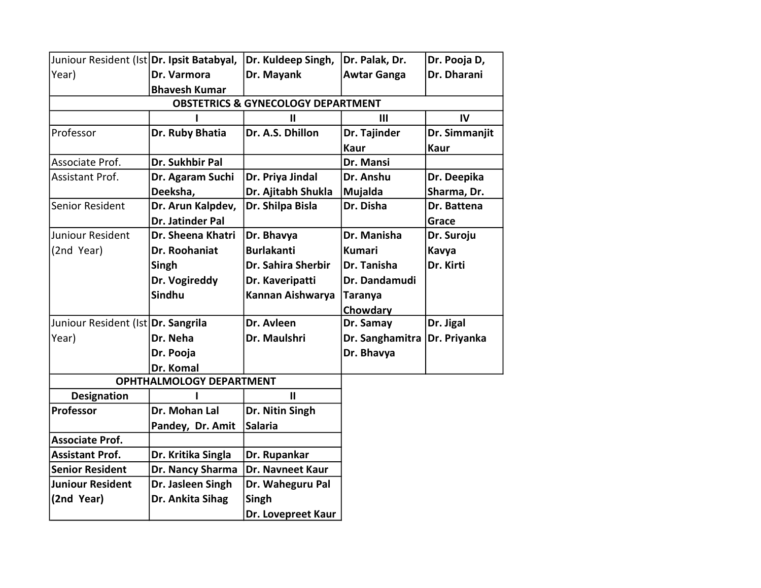| Juniour Resident (Ist Dr. Ipsit Batabyal, |                                 | Dr. Kuldeep Singh,                            | Dr. Palak, Dr.     | Dr. Pooja D,  |  |  |  |  |
|-------------------------------------------|---------------------------------|-----------------------------------------------|--------------------|---------------|--|--|--|--|
| Year)                                     | Dr. Varmora                     | Dr. Mayank                                    | <b>Awtar Ganga</b> | Dr. Dharani   |  |  |  |  |
|                                           | <b>Bhavesh Kumar</b>            |                                               |                    |               |  |  |  |  |
|                                           |                                 | <b>OBSTETRICS &amp; GYNECOLOGY DEPARTMENT</b> |                    |               |  |  |  |  |
| III<br>$\mathbf{I}$                       |                                 |                                               |                    |               |  |  |  |  |
| Professor                                 | Dr. Ruby Bhatia                 | Dr. A.S. Dhillon                              | Dr. Tajinder       | Dr. Simmanjit |  |  |  |  |
|                                           |                                 |                                               | <b>Kaur</b>        | <b>Kaur</b>   |  |  |  |  |
| Associate Prof.                           | Dr. Sukhbir Pal                 |                                               | Dr. Mansi          |               |  |  |  |  |
| Assistant Prof.                           | Dr. Agaram Suchi                | Dr. Priya Jindal                              | Dr. Anshu          | Dr. Deepika   |  |  |  |  |
|                                           | Deeksha,                        | Dr. Ajitabh Shukla                            | Mujalda            | Sharma, Dr.   |  |  |  |  |
| Senior Resident                           | Dr. Arun Kalpdev,               | Dr. Shilpa Bisla                              | Dr. Disha          | Dr. Battena   |  |  |  |  |
|                                           | Dr. Jatinder Pal                |                                               |                    | Grace         |  |  |  |  |
| Juniour Resident                          | Dr. Sheena Khatri               | Dr. Bhavya                                    | Dr. Manisha        | Dr. Suroju    |  |  |  |  |
| (2nd Year)                                | Dr. Roohaniat                   | <b>Burlakanti</b>                             | <b>Kumari</b>      | Kavya         |  |  |  |  |
|                                           | Singh                           | Dr. Sahira Sherbir                            | Dr. Tanisha        | Dr. Kirti     |  |  |  |  |
|                                           | Dr. Vogireddy                   | Dr. Kaveripatti                               | Dr. Dandamudi      |               |  |  |  |  |
|                                           | <b>Sindhu</b>                   | Kannan Aishwarya                              | Taranya            |               |  |  |  |  |
|                                           |                                 |                                               | Chowdary           |               |  |  |  |  |
| Juniour Resident (Ist Dr. Sangrila        |                                 | Dr. Avleen                                    | Dr. Samay          | Dr. Jigal     |  |  |  |  |
| Year)                                     | Dr. Neha                        | Dr. Maulshri                                  | Dr. Sanghamitra    | Dr. Priyanka  |  |  |  |  |
|                                           | Dr. Pooja                       |                                               | Dr. Bhavya         |               |  |  |  |  |
|                                           | Dr. Komal                       |                                               |                    |               |  |  |  |  |
|                                           | <b>OPHTHALMOLOGY DEPARTMENT</b> |                                               |                    |               |  |  |  |  |
| <b>Designation</b>                        |                                 | $\mathbf{H}$                                  |                    |               |  |  |  |  |
| Professor                                 | Dr. Mohan Lal                   | Dr. Nitin Singh                               |                    |               |  |  |  |  |
|                                           | Pandey, Dr. Amit                | <b>Salaria</b>                                |                    |               |  |  |  |  |
| <b>Associate Prof.</b>                    |                                 |                                               |                    |               |  |  |  |  |
| <b>Assistant Prof.</b>                    | Dr. Kritika Singla              | Dr. Rupankar                                  |                    |               |  |  |  |  |
| <b>Senior Resident</b>                    | Dr. Nancy Sharma                | Dr. Navneet Kaur                              |                    |               |  |  |  |  |
| <b>Juniour Resident</b>                   | Dr. Jasleen Singh               | Dr. Waheguru Pal                              |                    |               |  |  |  |  |
| (2nd Year)                                | Dr. Ankita Sihag                | Singh                                         |                    |               |  |  |  |  |
|                                           |                                 | Dr. Lovepreet Kaur                            |                    |               |  |  |  |  |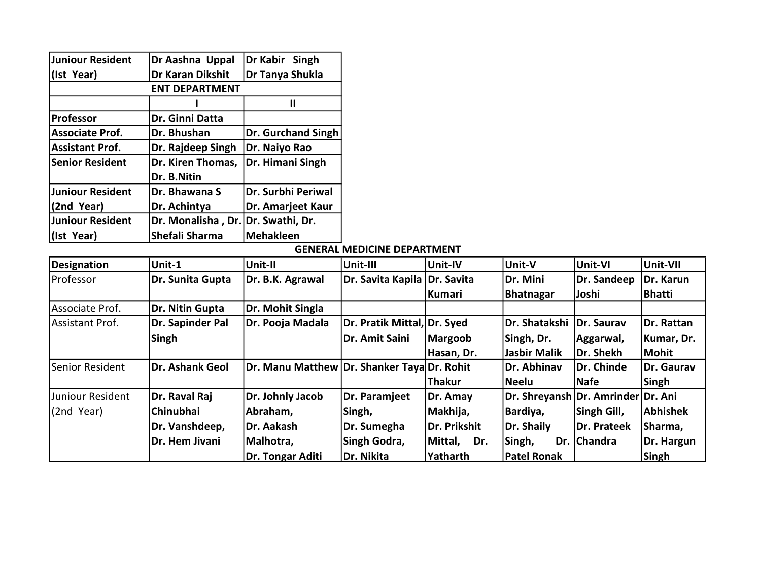| Juniour Resident       | Dr Aashna Uppal                    | Dr Kabir Singh            |  |  |  |  |
|------------------------|------------------------------------|---------------------------|--|--|--|--|
| (Ist Year)             | Dr Karan Dikshit                   | Dr Tanya Shukla           |  |  |  |  |
| <b>ENT DEPARTMENT</b>  |                                    |                           |  |  |  |  |
|                        |                                    | Ш                         |  |  |  |  |
| <b>Professor</b>       | Dr. Ginni Datta                    |                           |  |  |  |  |
| <b>Associate Prof.</b> | Dr. Bhushan                        | <b>Dr. Gurchand Singh</b> |  |  |  |  |
| <b>Assistant Prof.</b> | Dr. Rajdeep Singh                  | Dr. Naiyo Rao             |  |  |  |  |
| <b>Senior Resident</b> | Dr. Kiren Thomas,                  | Dr. Himani Singh          |  |  |  |  |
|                        | Dr. B.Nitin                        |                           |  |  |  |  |
| Juniour Resident       | Dr. Bhawana S                      | Dr. Surbhi Periwal        |  |  |  |  |
| (2nd Year)             | Dr. Achintya                       | Dr. Amarjeet Kaur         |  |  |  |  |
| Juniour Resident       | Dr. Monalisha, Dr. Dr. Swathi, Dr. |                           |  |  |  |  |
| (Ist Year)             | Shefali Sharma                     | <b>Mehakleen</b>          |  |  |  |  |

## GENERAL MEDICINE DEPARTMENT

| Designation       | Unit-1           | Unit-II                                     | Unit-III                     | Unit-IV       | Unit-V                             | Unit-VI     | Unit-VII      |
|-------------------|------------------|---------------------------------------------|------------------------------|---------------|------------------------------------|-------------|---------------|
| Professor         | Dr. Sunita Gupta | Dr. B.K. Agrawal                            | Dr. Savita Kapila Dr. Savita |               | Dr. Mini                           | Dr. Sandeep | Dr. Karun     |
|                   |                  |                                             |                              | Kumari        | Bhatnagar                          | Joshi       | <b>Bhatti</b> |
| Associate Prof.   | Dr. Nitin Gupta  | Dr. Mohit Singla                            |                              |               |                                    |             |               |
| Assistant Prof.   | Dr. Sapinder Pal | Dr. Pooja Madala                            | Dr. Pratik Mittal, Dr. Syed  |               | Dr. Shatakshi                      | Dr. Saurav  | Dr. Rattan    |
|                   | Singh            |                                             | Dr. Amit Saini               | Margoob       | Singh, Dr.                         | Aggarwal,   | Kumar, Dr.    |
|                   |                  |                                             |                              | Hasan, Dr.    | lJasbir Malik                      | Dr. Shekh   | Mohit         |
| lSenior Resident  | Dr. Ashank Geol  | Dr. Manu Matthew Dr. Shanker Taya Dr. Rohit |                              |               | Dr. Abhinav                        | Dr. Chinde  | Dr. Gaurav    |
|                   |                  |                                             |                              | <b>Thakur</b> | Neelu                              | Nafe        | Singh         |
| lJuniour Resident | Dr. Raval Raj    | Dr. Johnly Jacob                            | Dr. Paramjeet                | Dr. Amay      | Dr. Shreyansh Dr. Amrinder Dr. Ani |             |               |
| (2nd Year)        | <b>Chinubhai</b> | Abraham,                                    | Singh,                       | Makhija,      | Bardiya,                           | Singh Gill, | Abhishek      |
|                   | Dr. Vanshdeep,   | Dr. Aakash                                  | Dr. Sumegha                  | Dr. Prikshit  | Dr. Shaily                         | Dr. Prateek | Sharma,       |
|                   | Dr. Hem Jivani   | Malhotra,                                   | Singh Godra,                 | Mittal, Dr.   | Singh,                             | Dr. Chandra | Dr. Hargun    |
|                   |                  | Dr. Tongar Aditi                            | Dr. Nikita                   | Yatharth      | <b>Patel Ronak</b>                 |             | Singh         |